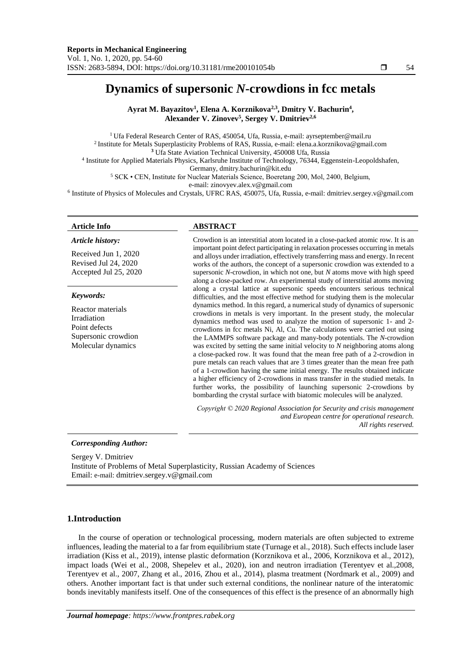# **Dynamics of supersonic** *N***-crowdions in fcc metals**

**Ayrat M. Bayazitov<sup>1</sup> , Elena A. Korznikova2,3, Dmitry V. Bachurin<sup>4</sup> , Alexander V. Zinovev<sup>5</sup> , Sergey V. Dmitriev2,6**

<sup>1</sup> Ufa Federal Research Center of RAS, 450054, Ufa, Russia, e-mail: ayrseptember@mail.ru  $^2$ Institute for Metals Superplasticity Problems of RAS, Russia, e-mail: elena.a.korznikova@gmail.com **<sup>3</sup>** Ufa State Aviation Technical University, 450008 Ufa, Russia 4 Institute for Applied Materials Physics, Karlsruhe Institute of Technology, 76344, Eggenstein-Leopoldshafen, Germany, dmitry.bachurin@kit.edu <sup>5</sup> SCK • CEN, Institute for Nuclear Materials Science, Boeretang 200, Mol, 2400, Belgium,

e-mail: zinovyev.alex.v@gmail.com

6 Institute of Physics of Molecules and Crystals, UFRC RAS, 450075, Ufa, Russia, e-mail: dmitriev.sergey.v@gmail.com

#### **Article Info ABSTRACT** *Article history:* Received Jun 1, 2020 Revised Jul 24, 2020 Accepted Jul 25, 2020 Crowdion is an interstitial atom located in a close-packed atomic row. It is an important point defect participating in relaxation processes occurring in metals and alloys under irradiation, effectively transferring mass and energy. In recent works of the authors, the concept of a supersonic crowdion was extended to a supersonic *N*-crowdion, in which not one, but *N* atoms move with high speed along a close-packed row. An experimental study of interstitial atoms moving along a crystal lattice at supersonic speeds encounters serious technical difficulties, and the most effective method for studying them is the molecular dynamics method. In this regard, a numerical study of dynamics of supersonic crowdions in metals is very important. In the present study, the molecular dynamics method was used to analyze the motion of supersonic 1- and 2 crowdions in fcc metals Ni, Al, Cu. The calculations were carried out using the LAMMPS software package and many-body potentials. The *N*-crowdion was excited by setting the same initial velocity to *N* neighboring atoms along a close-packed row. It was found that the mean free path of a 2-crowdion in pure metals can reach values that are 3 times greater than the mean free path of a 1-crowdion having the same initial energy. The results obtained indicate a higher efficiency of 2-crowdions in mass transfer in the studied metals. In further works, the possibility of launching supersonic 2-crowdions by bombarding the crystal surface with biatomic molecules will be analyzed. *Keywords:* Reactor materials Irradiation Point defects Supersonic crowdion Molecular dynamics *Copyright © 2020 Regional Association for Security and crisis management and European centre for operational research. All rights reserved.*

*Corresponding Author:*

Sergey V. Dmitriev Institute of Problems of Metal Superplasticity, Russian Academy of Sciences Email: e-mail: dmitriev.sergey.v@gmail.com

# **1.Introduction**

In the course of operation or technological processing, modern materials are often subjected to extreme influences, leading the material to a far from equilibrium state (Turnage et al., 2018). Such effects include laser irradiation (Kiss et al., 2019), intense plastic deformation (Korznikova et al., 2006, Korznikova et al., 2012), impact loads (Wei et al., 2008, Shepelev et al., 2020), ion and neutron irradiation (Terentyev et al.,2008, Terentyev et al., 2007, Zhang et al., 2016, Zhou et al., 2014), plasma treatment (Nordmark et al., 2009) and others. Another important fact is that under such external conditions, the nonlinear nature of the interatomic bonds inevitably manifests itself. One of the consequences of this effect is the presence of an abnormally high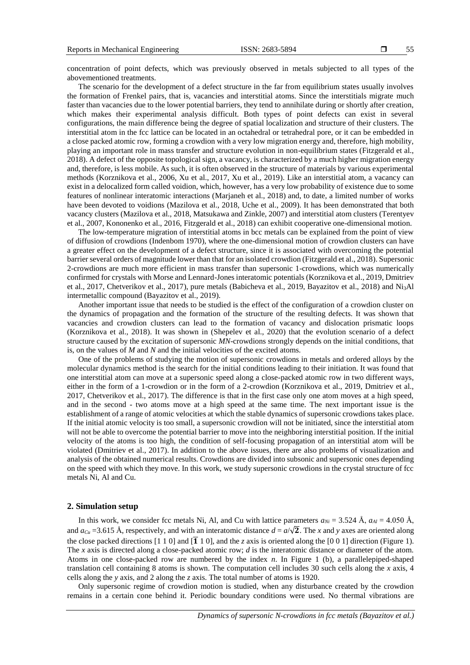55

concentration of point defects, which was previously observed in metals subjected to all types of the abovementioned treatments.

The scenario for the development of a defect structure in the far from equilibrium states usually involves the formation of Frenkel pairs, that is, vacancies and interstitial atoms. Since the interstitials migrate much faster than vacancies due to the lower potential barriers, they tend to annihilate during or shortly after creation, which makes their experimental analysis difficult. Both types of point defects can exist in several configurations, the main difference being the degree of spatial localization and structure of their clusters. The interstitial atom in the fcc lattice can be located in an octahedral or tetrahedral pore, or it can be embedded in a close packed atomic row, forming a crowdion with a very low migration energy and, therefore, high mobility, playing an important role in mass transfer and structure evolution in non-equilibrium states (Fitzgerald et al., 2018). A defect of the opposite topological sign, a vacancy, is characterized by a much higher migration energy and, therefore, is less mobile. As such, it is often observed in the structure of materials by various experimental methods (Korznikova et al., 2006, Xu et al., 2017, Xu et al., 2019). Like an interstitial atom, a vacancy can exist in a delocalized form called voidion, which, however, has a very low probability of existence due to some features of nonlinear interatomic interactions (Marjaneh et al., 2018) and, to date, a limited number of works have been devoted to voidions (Mazilova et al., 2018, Uche et al., 2009). It has been demonstrated that both vacancy clusters (Mazilova et al., 2018, Matsukawa and Zinkle, 2007) and interstitial atom clusters (Terentyev et al., 2007, Kononenko et al., 2016, Fitzgerald et al., 2018) can exhibit cooperative one-dimensional motion.

The low-temperature migration of interstitial atoms in bcc metals can be explained from the point of view of diffusion of crowdions (Indenbom 1970), where the one-dimensional motion of crowdion clusters can have a greater effect on the development of a defect structure, since it is associated with overcoming the potential barrier several orders of magnitude lower than that for an isolated crowdion (Fitzgerald et al., 2018). Supersonic 2-crowdions are much more efficient in mass transfer than supersonic 1-crowdions, which was numerically confirmed for crystals with Morse and Lennard-Jones interatomic potentials (Korznikova et al., 2019, Dmitriev et al., 2017, Chetverikov et al., 2017), pure metals (Babicheva et al., 2019, Bayazitov et al., 2018) and Ni3Al intermetallic compound (Bayazitov et al., 2019).

Another important issue that needs to be studied is the effect of the configuration of a crowdion cluster on the dynamics of propagation and the formation of the structure of the resulting defects. It was shown that vacancies and crowdion clusters can lead to the formation of vacancy and dislocation prismatic loops (Korznikova et al., 2018). It was shown in (Shepelev et al., 2020) that the evolution scenario of a defect structure caused by the excitation of supersonic *MN*-crowdions strongly depends on the initial conditions, that is, on the values of *M* and *N* and the initial velocities of the excited atoms.

One of the problems of studying the motion of supersonic crowdions in metals and ordered alloys by the molecular dynamics method is the search for the initial conditions leading to their initiation. It was found that one interstitial atom can move at a supersonic speed along a close-packed atomic row in two different ways, either in the form of a 1-crowdion or in the form of a 2-crowdion (Korznikova et al., 2019, Dmitriev et al., 2017, Chetverikov et al., 2017). The difference is that in the first case only one atom moves at a high speed, and in the second - two atoms move at a high speed at the same time. The next important issue is the establishment of a range of atomic velocities at which the stable dynamics of supersonic crowdions takes place. If the initial atomic velocity is too small, a supersonic crowdion will not be initiated, since the interstitial atom will not be able to overcome the potential barrier to move into the neighboring interstitial position. If the initial velocity of the atoms is too high, the condition of self-focusing propagation of an interstitial atom will be violated (Dmitriev et al., 2017). In addition to the above issues, there are also problems of visualization and analysis of the obtained numerical results. Crowdions are divided into subsonic and supersonic ones depending on the speed with which they move. In this work, we study supersonic crowdions in the crystal structure of fcc metals Ni, Al and Cu.

#### **2. Simulation setup**

In this work, we consider fcc metals Ni, Al, and Cu with lattice parameters  $a_{Ni} = 3.524 \text{ Å}$ ,  $a_{Al} = 4.050 \text{ Å}$ , and  $a_{Cu}$  =3.615 Å, respectively, and with an interatomic distance  $d = a/\sqrt{2}$ . The *x* and *y* axes are oriented along the close packed directions  $[1\ 1\ 0]$  and  $[1\ \overline{1}\ 1\ 0]$ , and the *z* axis is oriented along the  $[0\ 0\ 1]$  direction (Figure 1). The *x* axis is directed along a close-packed atomic row; *d* is the interatomic distance or diameter of the atom. Atoms in one close-packed row are numbered by the index *n*. In Figure 1 (b), a parallelepiped-shaped translation cell containing 8 atoms is shown. The computation cell includes 30 such cells along the *x* axis, 4 cells along the *y* axis, and 2 along the *z* axis. The total number of atoms is 1920.

Only supersonic regime of crowdion motion is studied, when any disturbance created by the crowdion remains in a certain cone behind it. Periodic boundary conditions were used. No thermal vibrations are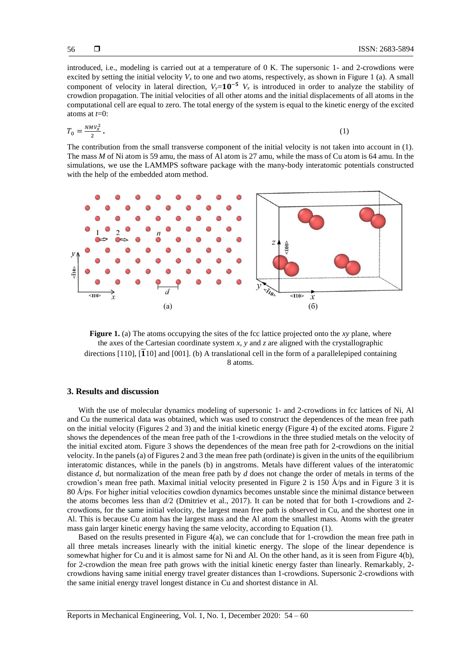introduced, i.e., modeling is carried out at a temperature of 0 K. The supersonic 1- and 2-crowdions were excited by setting the initial velocity  $V_x$  to one and two atoms, respectively, as shown in Figure 1 (a). A small component of velocity in lateral direction,  $V_y=10^{-5} V_x$  is introduced in order to analyze the stability of crowdion propagation. The initial velocities of all other atoms and the initial displacements of all atoms in the computational cell are equal to zero. The total energy of the system is equal to the kinetic energy of the excited atoms at *t*=0:

$$
T_0 = \frac{NMV_x^2}{2} \,. \tag{1}
$$

The contribution from the small transverse component of the initial velocity is not taken into account in (1). The mass *M* of Ni atom is 59 amu, the mass of Al atom is 27 amu, while the mass of Cu atom is 64 amu. In the simulations, we use the LAMMPS software package with the many-body interatomic potentials constructed with the help of the embedded atom method.



**Figure 1.** (a) The atoms occupying the sites of the fcc lattice projected onto the *xy* plane, where the axes of the Cartesian coordinate system *x*, *y* and *z* are aligned with the crystallographic directions  $[110]$ ,  $[110]$  and  $[001]$ . (b) A translational cell in the form of a parallelepiped containing 8 atoms.

### **3. Results and discussion**

With the use of molecular dynamics modeling of supersonic 1- and 2-crowdions in fcc lattices of Ni, Al and Cu the numerical data was obtained, which was used to construct the dependences of the mean free path on the initial velocity (Figures 2 and 3) and the initial kinetic energy (Figure 4) of the excited atoms. Figure 2 shows the dependences of the mean free path of the 1-crowdions in the three studied metals on the velocity of the initial excited atom. Figure 3 shows the dependences of the mean free path for 2-crowdions on the initial velocity. In the panels (a) of Figures 2 and 3 the mean free path (ordinate) is given in the units of the equilibrium interatomic distances, while in the panels (b) in angstroms. Metals have different values of the interatomic distance *d*, but normalization of the mean free path by *d* does not change the order of metals in terms of the crowdion's mean free path. Maximal initial velocity presented in Figure 2 is 150 Å/ps and in Figure 3 it is 80 Å/ps. For higher initial velocities cowdion dynamics becomes unstable since the minimal distance between the atoms becomes less than *d*/2 (Dmitriev et al., 2017). It can be noted that for both 1-crowdions and 2 crowdions, for the same initial velocity, the largest mean free path is observed in Cu, and the shortest one in Al. This is because Cu atom has the largest mass and the Al atom the smallest mass. Atoms with the greater mass gain larger kinetic energy having the same velocity, according to Equation (1).

Based on the results presented in Figure 4(a), we can conclude that for 1-crowdion the mean free path in all three metals increases linearly with the initial kinetic energy. The slope of the linear dependence is somewhat higher for Cu and it is almost same for Ni and Al. On the other hand, as it is seen from Figure 4(b), for 2-crowdion the mean free path grows with the initial kinetic energy faster than linearly. Remarkably, 2 crowdions having same initial energy travel greater distances than 1-crowdions. Supersonic 2-crowdions with the same initial energy travel longest distance in Cu and shortest distance in Al.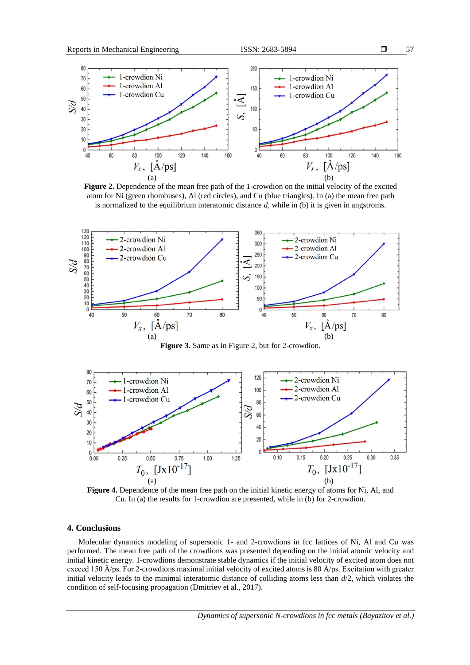

**Figure 2.** Dependence of the mean free path of the 1-crowdion on the initial velocity of the excited atom for Ni (green rhombuses), Al (red circles), and Cu (blue triangles). In (a) the mean free path is normalized to the equilibrium interatomic distance *d*, while in (b) it is given in angstroms.



**Figure 3.** Same as in Figure 2, but for 2-crowdion.



**Figure 4.** Dependence of the mean free path on the initial kinetic energy of atoms for Ni, Al, and Cu. In (a) the results for 1-crowdion are presented, while in (b) for 2-crowdion.

## **4. Conclusions**

Molecular dynamics modeling of supersonic 1- and 2-crowdions in fcc lattices of Ni, Al and Cu was performed. The mean free path of the crowdions was presented depending on the initial atomic velocity and initial kinetic energy. 1-crowdions demonstrate stable dynamics if the initial velocity of excited atom does not exceed 150 Å/ps. For 2-crowdions maximal initial velocity of excited atoms is 80 Å/ps. Excitation with greater initial velocity leads to the minimal interatomic distance of colliding atoms less than *d*/2, which violates the condition of self-focusing propagation (Dmitriev et al., 2017).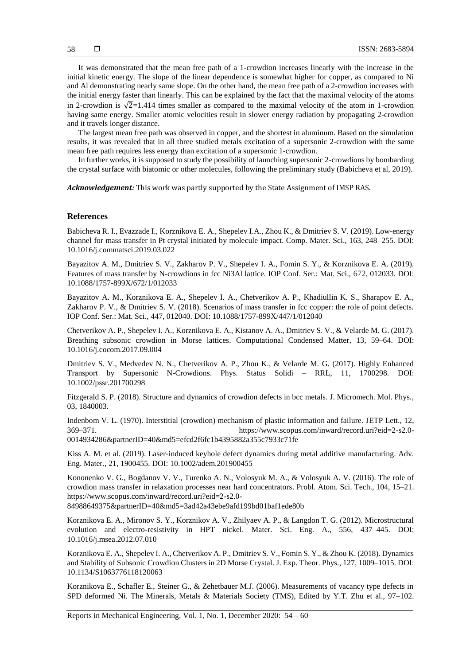It was demonstrated that the mean free path of a 1-crowdion increases linearly with the increase in the initial kinetic energy. The slope of the linear dependence is somewhat higher for copper, as compared to Ni and Al demonstrating nearly same slope. On the other hand, the mean free path of a 2-crowdion increases with the initial energy faster than linearly. This can be explained by the fact that the maximal velocity of the atoms in 2-crowdion is  $\sqrt{2}$ =1.414 times smaller as compared to the maximal velocity of the atom in 1-crowdion having same energy. Smaller atomic velocities result in slower energy radiation by propagating 2-crowdion and it travels longer distance.

The largest mean free path was observed in copper, and the shortest in aluminum. Based on the simulation results, it was revealed that in all three studied metals excitation of a supersonic 2-crowdion with the same mean free path requires less energy than excitation of a supersonic 1-crowdion.

In further works, it is supposed to study the possibility of launching supersonic 2-crowdions by bombarding the crystal surface with biatomic or other molecules, following the preliminary study (Babicheva et al, 2019).

*Acknowledgement:* This work was partly supported by the State Assignment of IMSP RAS.

#### **References**

Babicheva R. I., Evazzade I., Korznikova E. A., Shepelev I.A., Zhou K., & Dmitriev S. V. (2019). Low-energy channel for mass transfer in Pt crystal initiated by molecule impact. Comp. Mater. Sci., 163, 248–255. DOI: 10.1016/j.commatsci.2019.03.022

Bayazitov A. M., Dmitriev S. V., Zakharov P. V., Shepelev I. A., Fomin S. Y., & Korznikova E. A. (2019). Features of mass transfer by N-crowdions in fcc Ni3Al lattice. IOP Conf. Ser.: Mat. Sci., 672, 012033. DOI: 10.1088/1757-899X/672/1/012033

Bayazitov A. M., Korznikova E. A., Shepelev I. A., Chetverikov A. P., Khadiullin K. S., Sharapov E. A., Zakharov P. V., & Dmitriev S. V. (2018). Scenarios of mass transfer in fcc copper: the role of point defects. IOP Conf. Ser.: Mat. Sci., 447, 012040. DOI: 10.1088/1757-899X/447/1/012040

Chetverikov A. P., Shepelev I. A., Korznikova E. A., Kistanov A. A., Dmitriev S. V., & Velarde M. G. (2017). Breathing subsonic crowdion in Morse lattices. Computational Condensed Matter, 13, 59–64. DOI: 10.1016/j.cocom.2017.09.004

Dmitriev S. V., Medvedev N. N., Chetverikov A. P., Zhou K., & Velarde M. G. (2017). Highly Enhanced Transport by Supersonic N-Crowdions. Phys. Status Solidi – RRL, 11, 1700298. DOI: 10.1002/pssr.201700298

Fitzgerald S. P. (2018). Structure and dynamics of crowdion defects in bcc metals. J. Micromech. Mol. Phys., 03, 1840003.

Indenbom V. L. (1970). Interstitial (crowdion) mechanism of plastic information and failure. JETP Lett., 12, 369–371. https://www.scopus.com/inward/record.uri?eid=2-s2.0- 0014934286&partnerID=40&md5=efcd2f6fc1b4395882a355c7933c71fe

Kiss A. M. et al. (2019). Laser‐induced keyhole defect dynamics during metal additive manufacturing. Adv. Eng. Mater., 21, 1900455. DOI: 10.1002/adem.201900455

Kononenko V. G., Bogdanov V. V., Turenko A. N., Volosyuk M. A., & Volosyuk A. V. (2016). The role of crowdion mass transfer in relaxation processes near hard concentrators. Probl. Atom. Sci. Tech., 104, 15–21. https://www.scopus.com/inward/record.uri?eid=2-s2.0-

84988649375&partnerID=40&md5=3ad42a43ebe9afd199bd01baf1ede80b

Korznikova E. A., Mironov S. Y., Korznikov A. V., Zhilyaev A. P., & Langdon T. G. (2012). Microstructural evolution and electro-resistivity in HPT nickel. Mater. Sci. Eng. A., 556, 437–445. DOI: 10.1016/j.msea.2012.07.010

Korznikova E. A., Shepelev I. A., Chetverikov A. P., Dmitriev S. V., Fomin S. Y., & Zhou K. (2018). Dynamics and Stability of Subsonic Crowdion Clusters in 2D Morse Crystal. J. Exp. Theor. Phys., 127, 1009–1015. DOI: 10.1134/S1063776118120063

Korznikova E., Schafler E., Steiner G., & Zehetbauer M.J. (2006). Measurements of vacancy type defects in SPD deformed Ni. The Minerals, Metals & Materials Society (TMS), Edited by Y.T. Zhu et al., 97–102.